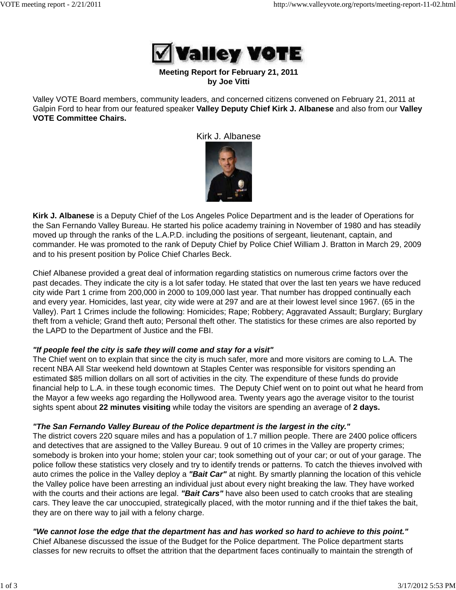

#### **Meeting Report for February 21, 2011 by Joe Vitti**

Valley VOTE Board members, community leaders, and concerned citizens convened on February 21, 2011 at Galpin Ford to hear from our featured speaker **Valley Deputy Chief Kirk J. Albanese** and also from our **Valley VOTE Committee Chairs.**

Kirk J. Albanese



**Kirk J. Albanese** is a Deputy Chief of the Los Angeles Police Department and is the leader of Operations for the San Fernando Valley Bureau. He started his police academy training in November of 1980 and has steadily moved up through the ranks of the L.A.P.D. including the positions of sergeant, lieutenant, captain, and commander. He was promoted to the rank of Deputy Chief by Police Chief William J. Bratton in March 29, 2009 and to his present position by Police Chief Charles Beck.

Chief Albanese provided a great deal of information regarding statistics on numerous crime factors over the past decades. They indicate the city is a lot safer today. He stated that over the last ten years we have reduced city wide Part 1 crime from 200,000 in 2000 to 109,000 last year. That number has dropped continually each and every year. Homicides, last year, city wide were at 297 and are at their lowest level since 1967. (65 in the Valley). Part 1 Crimes include the following: Homicides; Rape; Robbery; Aggravated Assault; Burglary; Burglary theft from a vehicle; Grand theft auto; Personal theft other. The statistics for these crimes are also reported by the LAPD to the Department of Justice and the FBI.

## *"If people feel the city is safe they will come and stay for a visit"*

The Chief went on to explain that since the city is much safer, more and more visitors are coming to L.A. The recent NBA All Star weekend held downtown at Staples Center was responsible for visitors spending an estimated \$85 million dollars on all sort of activities in the city. The expenditure of these funds do provide financial help to L.A. in these tough economic times. The Deputy Chief went on to point out what he heard from the Mayor a few weeks ago regarding the Hollywood area. Twenty years ago the average visitor to the tourist sights spent about **22 minutes visiting** while today the visitors are spending an average of **2 days.**

## *"The San Fernando Valley Bureau of the Police department is the largest in the city."*

The district covers 220 square miles and has a population of 1.7 million people. There are 2400 police officers and detectives that are assigned to the Valley Bureau. 9 out of 10 crimes in the Valley are property crimes; somebody is broken into your home; stolen your car; took something out of your car; or out of your garage. The police follow these statistics very closely and try to identify trends or patterns. To catch the thieves involved with auto crimes the police in the Valley deploy a *"Bait Car"* at night. By smartly planning the location of this vehicle the Valley police have been arresting an individual just about every night breaking the law. They have worked with the courts and their actions are legal. *"Bait Cars"* have also been used to catch crooks that are stealing cars. They leave the car unoccupied, strategically placed, with the motor running and if the thief takes the bait, they are on there way to jail with a felony charge.

#### *"We cannot lose the edge that the department has and has worked so hard to achieve to this point."* Chief Albanese discussed the issue of the Budget for the Police department. The Police department starts

classes for new recruits to offset the attrition that the department faces continually to maintain the strength of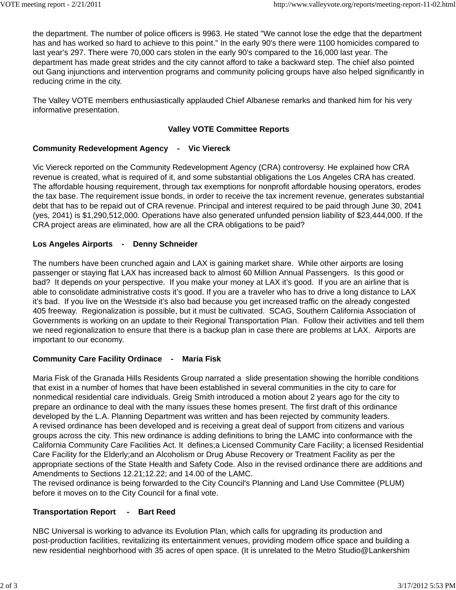the department. The number of police officers is 9963. He stated "We cannot lose the edge that the department has and has worked so hard to achieve to this point." In the early 90's there were 1100 homicides compared to last year's 297. There were 70,000 cars stolen in the early 90's compared to the 16,000 last year. The department has made great strides and the city cannot afford to take a backward step. The chief also pointed out Gang injunctions and intervention programs and community policing groups have also helped significantly in reducing crime in the city.

The Valley VOTE members enthusiastically applauded Chief Albanese remarks and thanked him for his very informative presentation.

## **Valley VOTE Committee Reports**

## **Community Redevelopment Agency - Vic Viereck**

Vic Viereck reported on the Community Redevelopment Agency (CRA) controversy. He explained how CRA revenue is created, what is required of it, and some substantial obligations the Los Angeles CRA has created. The affordable housing requirement, through tax exemptions for nonprofit affordable housing operators, erodes the tax base. The requirement issue bonds, in order to receive the tax increment revenue, generates substantial debt that has to be repaid out of CRA revenue. Principal and interest required to be paid through June 30, 2041 (yes, 2041) is \$1,290,512,000. Operations have also generated unfunded pension liability of \$23,444,000. If the CRA project areas are eliminated, how are all the CRA obligations to be paid?

## **Los Angeles Airports - Denny Schneider**

The numbers have been crunched again and LAX is gaining market share. While other airports are losing passenger or staying flat LAX has increased back to almost 60 Million Annual Passengers. Is this good or bad? It depends on your perspective. If you make your money at LAX it's good. If you are an airline that is able to consolidate administrative costs it's good. If you are a traveler who has to drive a long distance to LAX it's bad. If you live on the Westside it's also bad because you get increased traffic on the already congested 405 freeway. Regionalization is possible, but it must be cultivated. SCAG, Southern California Association of Governments is working on an update to their Regional Transportation Plan. Follow their activities and tell them we need regionalization to ensure that there is a backup plan in case there are problems at LAX. Airports are important to our economy.

# **Community Care Facility Ordinace - Maria Fisk**

Maria Fisk of the Granada Hills Residents Group narrated a slide presentation showing the horrible conditions that exist in a number of homes that have been established in several communities in the city to care for nonmedical residential care individuals. Greig Smith introduced a motion about 2 years ago for the city to prepare an ordinance to deal with the many issues these homes present. The first draft of this ordinance developed by the L.A. Planning Department was written and has been rejected by community leaders. A revised ordinance has been developed and is receiving a great deal of support from citizens and various groups across the city. This new ordinance is adding definitions to bring the LAMC into conformance with the California Community Care Facilities Act. It defines;a Licensed Community Care Facility; a licensed Residential Care Facility for the Elderly;and an Alcoholism or Drug Abuse Recovery or Treatment Facility as per the appropriate sections of the State Health and Safety Code. Also in the revised ordinance there are additions and Amendments to Sections 12.21;12.22; and 14.00 of the LAMC.

The revised ordinance is being forwarded to the City Council's Planning and Land Use Committee (PLUM) before it moves on to the City Council for a final vote.

## **Transportation Report - Bart Reed**

NBC Universal is working to advance its Evolution Plan, which calls for upgrading its production and post-production facilities, revitalizing its entertainment venues, providing modern office space and building a new residential neighborhood with 35 acres of open space. (It is unrelated to the Metro Studio@Lankershim